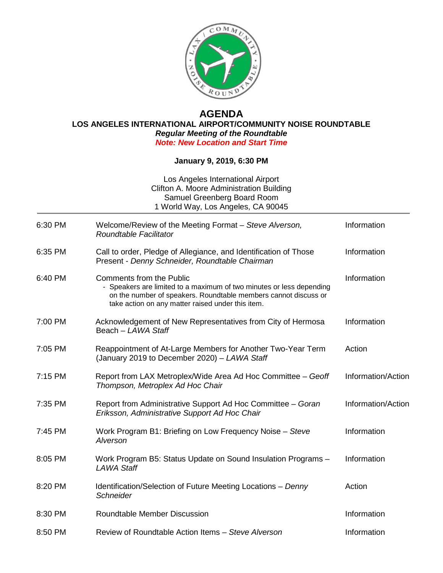

## **AGENDA**

**LOS ANGELES INTERNATIONAL AIRPORT/COMMUNITY NOISE ROUNDTABLE** *Regular Meeting of the Roundtable* 

*Note: New Location and Start Time*

## **January 9, 2019, 6:30 PM**

| Los Angeles International Airport<br>Clifton A. Moore Administration Building<br>Samuel Greenberg Board Room<br>1 World Way, Los Angeles, CA 90045 |                                                                                                                                                                                                                                 |                    |
|----------------------------------------------------------------------------------------------------------------------------------------------------|---------------------------------------------------------------------------------------------------------------------------------------------------------------------------------------------------------------------------------|--------------------|
| 6:30 PM                                                                                                                                            | Welcome/Review of the Meeting Format - Steve Alverson,<br>Roundtable Facilitator                                                                                                                                                | Information        |
| 6:35 PM                                                                                                                                            | Call to order, Pledge of Allegiance, and Identification of Those<br>Present - Denny Schneider, Roundtable Chairman                                                                                                              | Information        |
| 6:40 PM                                                                                                                                            | <b>Comments from the Public</b><br>- Speakers are limited to a maximum of two minutes or less depending<br>on the number of speakers. Roundtable members cannot discuss or<br>take action on any matter raised under this item. | Information        |
| 7:00 PM                                                                                                                                            | Acknowledgement of New Representatives from City of Hermosa<br>Beach - LAWA Staff                                                                                                                                               | Information        |
| 7:05 PM                                                                                                                                            | Reappointment of At-Large Members for Another Two-Year Term<br>(January 2019 to December 2020) - LAWA Staff                                                                                                                     | Action             |
| 7:15 PM                                                                                                                                            | Report from LAX Metroplex/Wide Area Ad Hoc Committee - Geoff<br>Thompson, Metroplex Ad Hoc Chair                                                                                                                                | Information/Action |
| 7:35 PM                                                                                                                                            | Report from Administrative Support Ad Hoc Committee - Goran<br>Eriksson, Administrative Support Ad Hoc Chair                                                                                                                    | Information/Action |
| 7:45 PM                                                                                                                                            | Work Program B1: Briefing on Low Frequency Noise - Steve<br>Alverson                                                                                                                                                            | Information        |
| 8:05 PM                                                                                                                                            | Work Program B5: Status Update on Sound Insulation Programs -<br><b>LAWA Staff</b>                                                                                                                                              | Information        |
| 8:20 PM                                                                                                                                            | Identification/Selection of Future Meeting Locations - Denny<br>Schneider                                                                                                                                                       | Action             |
| 8:30 PM                                                                                                                                            | Roundtable Member Discussion                                                                                                                                                                                                    | Information        |
| 8:50 PM                                                                                                                                            | Review of Roundtable Action Items - Steve Alverson                                                                                                                                                                              | Information        |